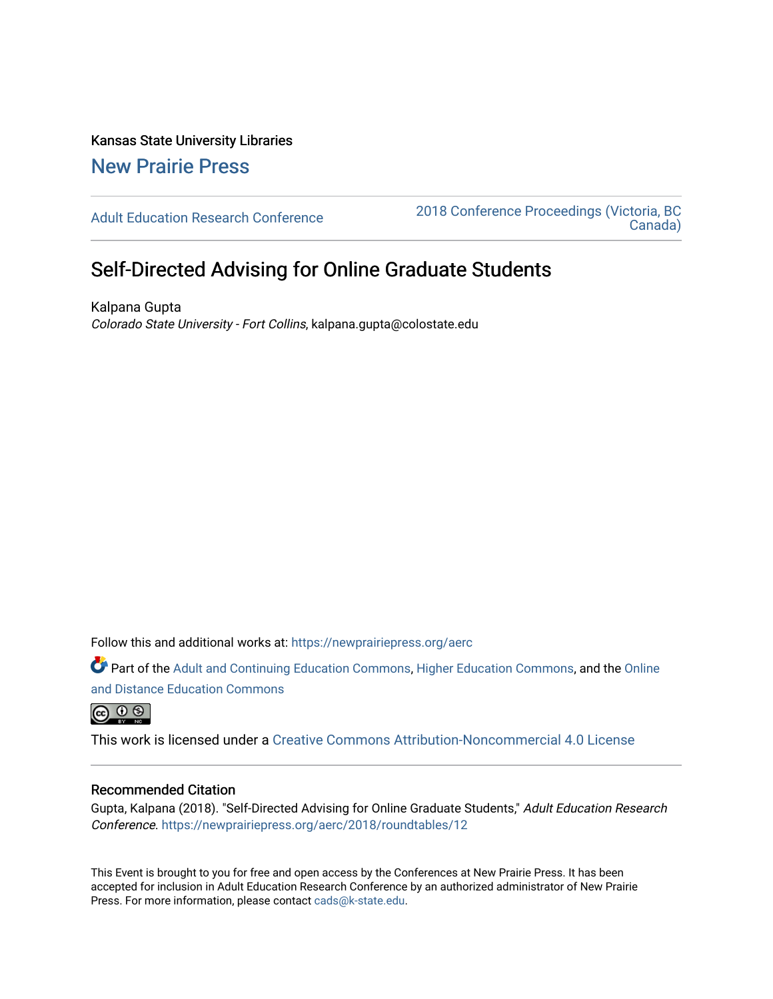Kansas State University Libraries [New Prairie Press](https://newprairiepress.org/) 

[Adult Education Research Conference](https://newprairiepress.org/aerc) [2018 Conference Proceedings \(Victoria, BC](https://newprairiepress.org/aerc/2018)  [Canada\)](https://newprairiepress.org/aerc/2018) 

# Self-Directed Advising for Online Graduate Students

Kalpana Gupta Colorado State University - Fort Collins, kalpana.gupta@colostate.edu

Follow this and additional works at: [https://newprairiepress.org/aerc](https://newprairiepress.org/aerc?utm_source=newprairiepress.org%2Faerc%2F2018%2Froundtables%2F12&utm_medium=PDF&utm_campaign=PDFCoverPages)

Part of the [Adult and Continuing Education Commons,](http://network.bepress.com/hgg/discipline/1375?utm_source=newprairiepress.org%2Faerc%2F2018%2Froundtables%2F12&utm_medium=PDF&utm_campaign=PDFCoverPages) [Higher Education Commons,](http://network.bepress.com/hgg/discipline/1245?utm_source=newprairiepress.org%2Faerc%2F2018%2Froundtables%2F12&utm_medium=PDF&utm_campaign=PDFCoverPages) and the [Online](http://network.bepress.com/hgg/discipline/1296?utm_source=newprairiepress.org%2Faerc%2F2018%2Froundtables%2F12&utm_medium=PDF&utm_campaign=PDFCoverPages)  [and Distance Education Commons](http://network.bepress.com/hgg/discipline/1296?utm_source=newprairiepress.org%2Faerc%2F2018%2Froundtables%2F12&utm_medium=PDF&utm_campaign=PDFCoverPages)

 $\circledcirc$ 

This work is licensed under a [Creative Commons Attribution-Noncommercial 4.0 License](https://creativecommons.org/licenses/by-nc/4.0/)

## Recommended Citation

Gupta, Kalpana (2018). "Self-Directed Advising for Online Graduate Students," Adult Education Research Conference.<https://newprairiepress.org/aerc/2018/roundtables/12>

This Event is brought to you for free and open access by the Conferences at New Prairie Press. It has been accepted for inclusion in Adult Education Research Conference by an authorized administrator of New Prairie Press. For more information, please contact [cads@k-state.edu.](mailto:cads@k-state.edu)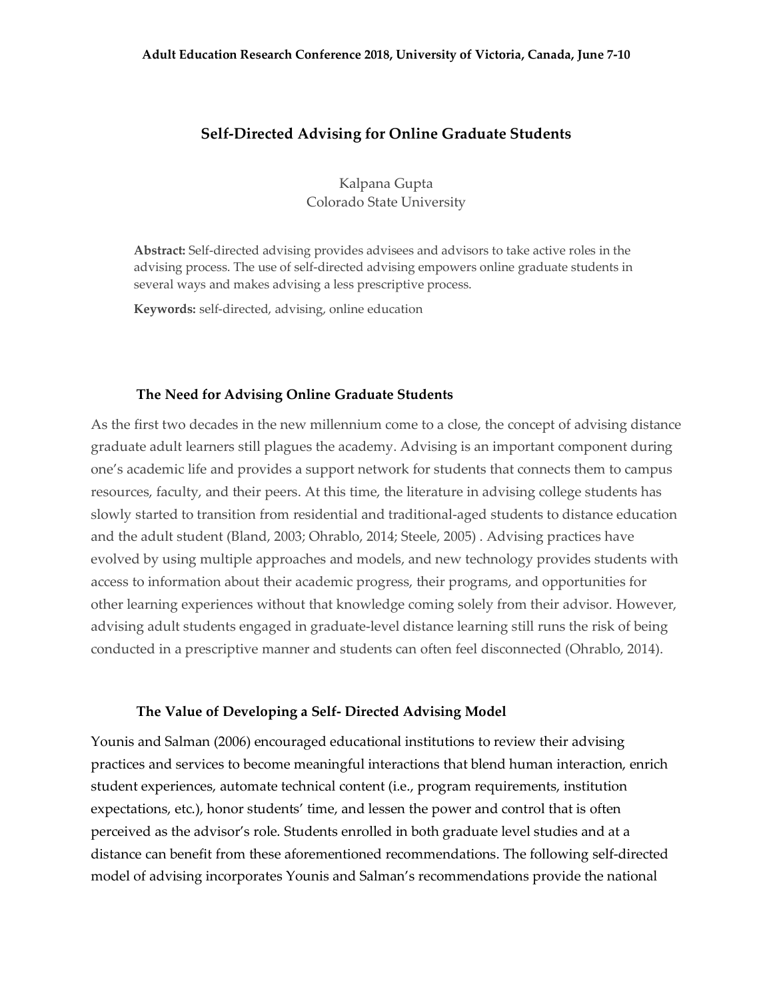# **Self-Directed Advising for Online Graduate Students**

Kalpana Gupta Colorado State University

**Abstract:** Self-directed advising provides advisees and advisors to take active roles in the advising process. The use of self-directed advising empowers online graduate students in several ways and makes advising a less prescriptive process.

**Keywords:** self-directed, advising, online education

## **The Need for Advising Online Graduate Students**

As the first two decades in the new millennium come to a close, the concept of advising distance graduate adult learners still plagues the academy. Advising is an important component during one's academic life and provides a support network for students that connects them to campus resources, faculty, and their peers. At this time, the literature in advising college students has slowly started to transition from residential and traditional-aged students to distance education and the adult student (Bland, 2003; Ohrablo, 2014; Steele, 2005) . Advising practices have evolved by using multiple approaches and models, and new technology provides students with access to information about their academic progress, their programs, and opportunities for other learning experiences without that knowledge coming solely from their advisor. However, advising adult students engaged in graduate-level distance learning still runs the risk of being conducted in a prescriptive manner and students can often feel disconnected (Ohrablo, 2014).

#### **The Value of Developing a Self- Directed Advising Model**

Younis and Salman (2006) encouraged educational institutions to review their advising practices and services to become meaningful interactions that blend human interaction, enrich student experiences, automate technical content (i.e., program requirements, institution expectations, etc.), honor students' time, and lessen the power and control that is often perceived as the advisor's role. Students enrolled in both graduate level studies and at a distance can benefit from these aforementioned recommendations. The following self-directed model of advising incorporates Younis and Salman's recommendations provide the national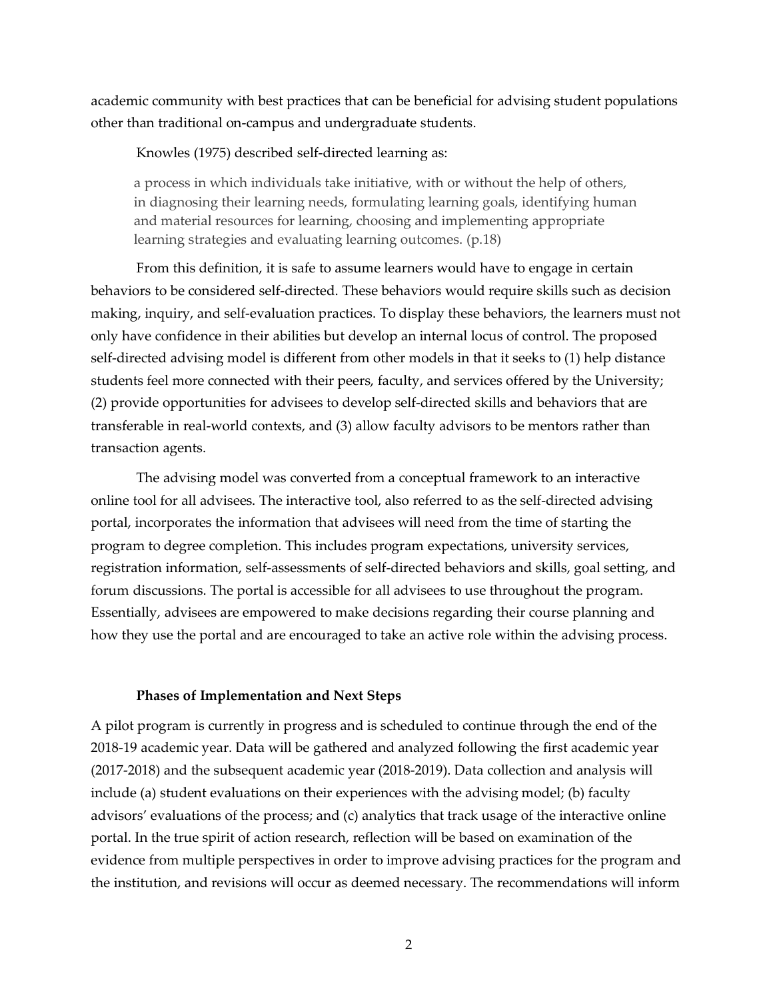academic community with best practices that can be beneficial for advising student populations other than traditional on-campus and undergraduate students.

Knowles (1975) described self-directed learning as:

a process in which individuals take initiative, with or without the help of others, in diagnosing their learning needs, formulating learning goals, identifying human and material resources for learning, choosing and implementing appropriate learning strategies and evaluating learning outcomes. (p.18)

From this definition, it is safe to assume learners would have to engage in certain behaviors to be considered self-directed. These behaviors would require skills such as decision making, inquiry, and self-evaluation practices. To display these behaviors, the learners must not only have confidence in their abilities but develop an internal locus of control. The proposed self-directed advising model is different from other models in that it seeks to (1) help distance students feel more connected with their peers, faculty, and services offered by the University; (2) provide opportunities for advisees to develop self-directed skills and behaviors that are transferable in real-world contexts, and (3) allow faculty advisors to be mentors rather than transaction agents.

The advising model was converted from a conceptual framework to an interactive online tool for all advisees. The interactive tool, also referred to as the self-directed advising portal, incorporates the information that advisees will need from the time of starting the program to degree completion. This includes program expectations, university services, registration information, self-assessments of self-directed behaviors and skills, goal setting, and forum discussions. The portal is accessible for all advisees to use throughout the program. Essentially, advisees are empowered to make decisions regarding their course planning and how they use the portal and are encouraged to take an active role within the advising process.

#### **Phases of Implementation and Next Steps**

A pilot program is currently in progress and is scheduled to continue through the end of the 2018-19 academic year. Data will be gathered and analyzed following the first academic year (2017-2018) and the subsequent academic year (2018-2019). Data collection and analysis will include (a) student evaluations on their experiences with the advising model; (b) faculty advisors' evaluations of the process; and (c) analytics that track usage of the interactive online portal. In the true spirit of action research, reflection will be based on examination of the evidence from multiple perspectives in order to improve advising practices for the program and the institution, and revisions will occur as deemed necessary. The recommendations will inform